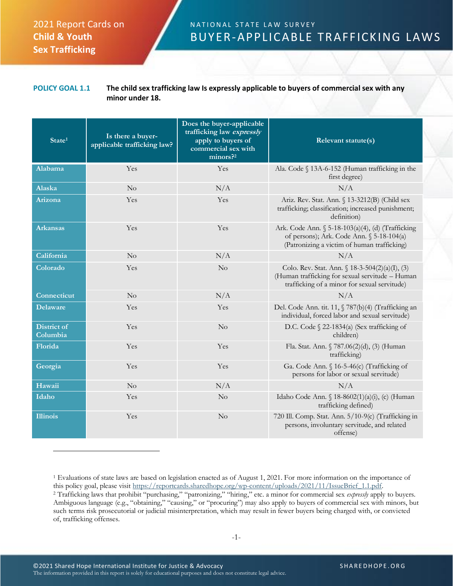## 2021 Report Cards on **Child & Youth Sex Trafficking**

## N A T I O N A L S T A T E L A W S U R V E Y BUYER-APPLICABLE TRAFFICKING LAWS

## **POLICY GOAL 1.1 The child sex trafficking law Is expressly applicable to buyers of commercial sex with any minor under 18.**

| State <sup>1</sup>             | Is there a buyer-<br>applicable trafficking law? | Does the buyer-applicable<br>trafficking law expressly<br>apply to buyers of<br>commercial sex with<br>minors? <sup>2</sup> | Relevant statute(s)                                                                                                                                  |
|--------------------------------|--------------------------------------------------|-----------------------------------------------------------------------------------------------------------------------------|------------------------------------------------------------------------------------------------------------------------------------------------------|
| Alabama                        | Yes                                              | Yes                                                                                                                         | Ala. Code § 13A-6-152 (Human trafficking in the<br>first degree)                                                                                     |
| Alaska                         | No                                               | N/A                                                                                                                         | N/A                                                                                                                                                  |
| Arizona                        | Yes                                              | Yes                                                                                                                         | Ariz. Rev. Stat. Ann. § 13-3212(B) (Child sex<br>trafficking; classification; increased punishment;<br>definition)                                   |
| <b>Arkansas</b>                | Yes                                              | Yes                                                                                                                         | Ark. Code Ann. § 5-18-103(a)(4), (d) (Trafficking<br>of persons); Ark. Code Ann. § 5-18-104(a)<br>(Patronizing a victim of human trafficking)        |
| California                     | No                                               | N/A                                                                                                                         | N/A                                                                                                                                                  |
| Colorado                       | Yes                                              | No                                                                                                                          | Colo. Rev. Stat. Ann. $\{ 18-3-504(2)(a)(I), (3)$<br>(Human trafficking for sexual servitude - Human<br>trafficking of a minor for sexual servitude) |
| Connecticut                    | No                                               | N/A                                                                                                                         | N/A                                                                                                                                                  |
| <b>Delaware</b>                | Yes                                              | Yes                                                                                                                         | Del. Code Ann. tit. 11, § 787(b)(4) (Trafficking an<br>individual, forced labor and sexual servitude)                                                |
| <b>District of</b><br>Columbia | Yes                                              | No                                                                                                                          | D.C. Code § 22-1834(a) (Sex trafficking of<br>children)                                                                                              |
| Florida                        | Yes                                              | Yes                                                                                                                         | Fla. Stat. Ann. § 787.06(2)(d), (3) (Human<br>trafficking)                                                                                           |
| Georgia                        | Yes                                              | Yes                                                                                                                         | Ga. Code Ann. § 16-5-46(c) (Trafficking of<br>persons for labor or sexual servitude)                                                                 |
| Hawaii                         | No                                               | N/A                                                                                                                         | N/A                                                                                                                                                  |
| Idaho                          | Yes                                              | No                                                                                                                          | Idaho Code Ann. § 18-8602(1)(a)(i), (c) (Human<br>trafficking defined)                                                                               |
| <b>Illinois</b>                | Yes                                              | No                                                                                                                          | 720 Ill. Comp. Stat. Ann. 5/10-9(c) (Trafficking in<br>persons, involuntary servitude, and related<br>offense)                                       |

<sup>1</sup> Evaluations of state laws are based on legislation enacted as of August 1, 2021. For more information on the importance of this policy goal, please visit [https://reportcards.sharedhope.org/wp-content/uploads/2021/11/IssueBrief\\_1.1.pdf.](https://reportcards.sharedhope.org/wp-content/uploads/2021/11/IssueBrief_1.1.pdf) <sup>2</sup> Trafficking laws that prohibit "purchasing," "patronizing," "hiring," etc. a minor for commercial sex *expressly* apply to buyers. Ambiguous language (e.g., "obtaining," "causing," or "procuring") may also apply to buyers of commercial sex with minors, but such terms risk prosecutorial or judicial misinterpretation, which may result in fewer buyers being charged with, or convicted of, trafficking offenses.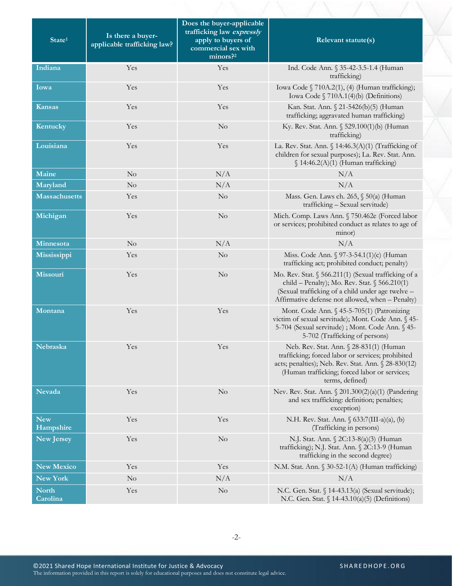| State <sup>1</sup>      | Is there a buyer-<br>applicable trafficking law? | Does the buyer-applicable<br>trafficking law expressly<br>apply to buyers of<br>commercial sex with<br>$minors$ <sup>22</sup> | Relevant statute(s)                                                                                                                                                                                                     |
|-------------------------|--------------------------------------------------|-------------------------------------------------------------------------------------------------------------------------------|-------------------------------------------------------------------------------------------------------------------------------------------------------------------------------------------------------------------------|
| Indiana                 | Yes                                              | Yes                                                                                                                           | Ind. Code Ann. § 35-42-3.5-1.4 (Human<br>trafficking)                                                                                                                                                                   |
| Iowa                    | Yes                                              | Yes                                                                                                                           | Iowa Code § 710A.2(1), (4) (Human trafficking);<br>Iowa Code $\sqrt{710A.1(4)}$ (b) (Definitions)                                                                                                                       |
| Kansas                  | Yes                                              | Yes                                                                                                                           | Kan. Stat. Ann. § 21-5426(b)(5) (Human<br>trafficking; aggravated human trafficking)                                                                                                                                    |
| Kentucky                | Yes                                              | $\rm No$                                                                                                                      | Ky. Rev. Stat. Ann. § 529.100(1)(b) (Human<br>trafficking)                                                                                                                                                              |
| Louisiana               | Yes                                              | Yes                                                                                                                           | La. Rev. Stat. Ann. § 14:46.3(A)(1) (Trafficking of<br>children for sexual purposes); La. Rev. Stat. Ann.<br>$\{14:46.2(A)(1)$ (Human trafficking)                                                                      |
| Maine                   | No                                               | N/A                                                                                                                           | N/A                                                                                                                                                                                                                     |
| Maryland                | No                                               | N/A                                                                                                                           | N/A                                                                                                                                                                                                                     |
| <b>Massachusetts</b>    | Yes                                              | N <sub>o</sub>                                                                                                                | Mass. Gen. Laws ch. 265, § 50(a) (Human<br>trafficking - Sexual servitude)                                                                                                                                              |
| Michigan                | Yes                                              | N <sub>o</sub>                                                                                                                | Mich. Comp. Laws Ann. § 750.462e (Forced labor<br>or services; prohibited conduct as relates to age of<br>minor)                                                                                                        |
| Minnesota               | No                                               | N/A                                                                                                                           | N/A                                                                                                                                                                                                                     |
| Mississippi             | Yes                                              | $\rm No$                                                                                                                      | Miss. Code Ann. § 97-3-54.1(1)(c) (Human<br>trafficking act; prohibited conduct; penalty)                                                                                                                               |
| <b>Missouri</b>         | Yes                                              | $\rm No$                                                                                                                      | Mo. Rev. Stat. § 566.211(1) (Sexual trafficking of a<br>child - Penalty); Mo. Rev. Stat. § 566.210(1)<br>(Sexual trafficking of a child under age twelve -<br>Affirmative defense not allowed, when - Penalty)          |
| Montana                 | Yes                                              | Yes                                                                                                                           | Mont. Code Ann. § 45-5-705(1) (Patronizing<br>victim of sexual servitude); Mont. Code Ann. § 45-<br>5-704 (Sexual servitude) ; Mont. Code Ann. § 45-<br>5-702 (Trafficking of persons)                                  |
| Nebraska                | Yes                                              | Yes                                                                                                                           | Neb. Rev. Stat. Ann. § 28-831(1) (Human<br>trafficking; forced labor or services; prohibited<br>acts; penalties); Neb. Rev. Stat. Ann. § 28-830(12)<br>(Human trafficking; forced labor or services;<br>terms, defined) |
| <b>Nevada</b>           | Yes                                              | N <sub>o</sub>                                                                                                                | Nev. Rev. Stat. Ann. § 201.300(2)(a)(1) (Pandering<br>and sex trafficking: definition; penalties;<br>exception)                                                                                                         |
| <b>New</b><br>Hampshire | Yes                                              | Yes                                                                                                                           | N.H. Rev. Stat. Ann. § 633:7(III-a)(a), (b)<br>(Trafficking in persons)                                                                                                                                                 |
| <b>New Jersey</b>       | Yes                                              | N <sub>o</sub>                                                                                                                | N.J. Stat. Ann. § 2C:13-8(a)(3) (Human<br>trafficking); N.J. Stat. Ann. § 2C:13-9 (Human<br>trafficking in the second degree)                                                                                           |
| <b>New Mexico</b>       | Yes                                              | Yes                                                                                                                           | N.M. Stat. Ann. § 30-52-1(A) (Human trafficking)                                                                                                                                                                        |
| New York                | $\rm No$                                         | N/A                                                                                                                           | N/A                                                                                                                                                                                                                     |
| North<br>Carolina       | Yes                                              | N <sub>o</sub>                                                                                                                | N.C. Gen. Stat. § 14-43.13(a) (Sexual servitude);<br>N.C. Gen. Stat. $\int 14-43.10(a)(5)$ (Definitions)                                                                                                                |